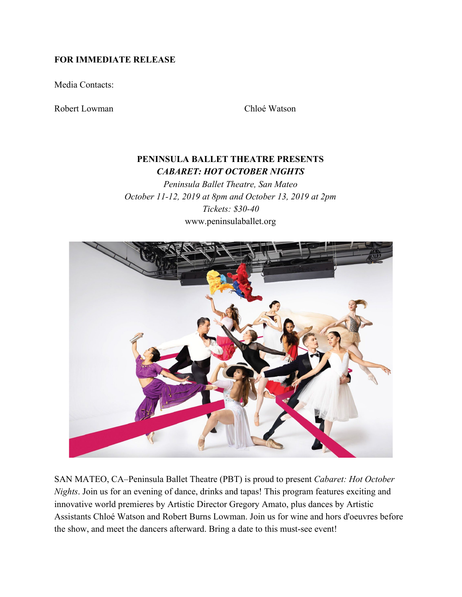## **FOR IMMEDIATE RELEASE**

Media Contacts:

Robert Lowman Chloé Watson

# **PENINSULA BALLET THEATRE PRESENTS** *CABARET: HOT OCTOBER NIGHTS*

*Peninsula Ballet Theatre, San Mateo October 11-12, 2019 at 8pm and October 13, 2019 at 2pm Tickets: \$30-40* www.peninsulaballet.org



SAN MATEO, CA–Peninsula Ballet Theatre (PBT) is proud to present *Cabaret: Hot October Nights*. Join us for an evening of dance, drinks and tapas! This program features exciting and innovative world premieres by Artistic Director Gregory Amato, plus dances by Artistic Assistants Chloé Watson and Robert Burns Lowman. Join us for wine and hors d'oeuvres before the show, and meet the dancers afterward. Bring a date to this must-see event!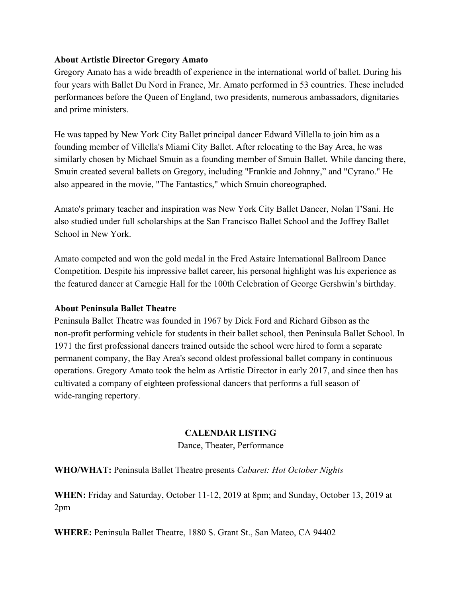## **About Artistic Director Gregory Amato**

Gregory Amato has a wide breadth of experience in the international world of ballet. During his four years with Ballet Du Nord in France, Mr. Amato performed in 53 countries. These included performances before the Queen of England, two presidents, numerous ambassadors, dignitaries and prime ministers.

He was tapped by New York City Ballet principal dancer Edward Villella to join him as a founding member of Villella's Miami City Ballet. After relocating to the Bay Area, he was similarly chosen by Michael Smuin as a founding member of Smuin Ballet. While dancing there, Smuin created several ballets on Gregory, including "Frankie and Johnny," and "Cyrano." He also appeared in the movie, "The Fantastics," which Smuin choreographed.

Amato's primary teacher and inspiration was New York City Ballet Dancer, Nolan T'Sani. He also studied under full scholarships at the San Francisco Ballet School and the Joffrey Ballet School in New York.

Amato competed and won the gold medal in the Fred Astaire International Ballroom Dance Competition. Despite his impressive ballet career, his personal highlight was his experience as the featured dancer at Carnegie Hall for the 100th Celebration of George Gershwin's birthday.

#### **About Peninsula Ballet Theatre**

Peninsula Ballet Theatre was founded in 1967 by Dick Ford and Richard Gibson as the non-profit performing vehicle for students in their ballet school, then Peninsula Ballet School. In 1971 the first professional dancers trained outside the school were hired to form a separate permanent company, the Bay Area's second oldest professional ballet company in continuous operations. Gregory Amato took the helm as Artistic Director in early 2017, and since then has cultivated a company of eighteen professional dancers that performs a full season of wide-ranging repertory.

## **CALENDAR LISTING**

Dance, Theater, Performance

**WHO/WHAT:** Peninsula Ballet Theatre presents *Cabaret: Hot October Nights*

**WHEN:** Friday and Saturday, October 11-12, 2019 at 8pm; and Sunday, October 13, 2019 at 2pm

**WHERE:** Peninsula Ballet Theatre, 1880 S. Grant St., San Mateo, CA 94402